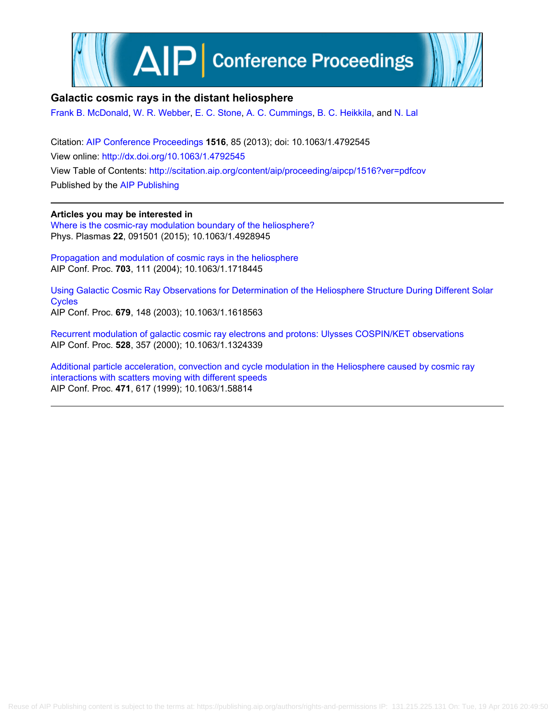

#### **Galactic cosmic rays in the distant heliosphere**

[Frank B. McDonald,](http://scitation.aip.org/search?value1=Frank+B.+McDonald&option1=author) [W. R. Webber,](http://scitation.aip.org/search?value1=W.+R.+Webber&option1=author) [E. C. Stone](http://scitation.aip.org/search?value1=E.+C.+Stone&option1=author), [A. C. Cummings,](http://scitation.aip.org/search?value1=A.+C.+Cummings&option1=author) [B. C. Heikkila](http://scitation.aip.org/search?value1=B.+C.+Heikkila&option1=author), and [N. Lal](http://scitation.aip.org/search?value1=N.+Lal&option1=author)

Citation: [AIP Conference Proceedings](http://scitation.aip.org/content/aip/proceeding/aipcp?ver=pdfcov) **1516**, 85 (2013); doi: 10.1063/1.4792545 View online: <http://dx.doi.org/10.1063/1.4792545> View Table of Contents: <http://scitation.aip.org/content/aip/proceeding/aipcp/1516?ver=pdfcov> Published by the [AIP Publishing](http://scitation.aip.org/content/aip?ver=pdfcov)

**Articles you may be interested in** [Where is the cosmic-ray modulation boundary of the heliosphere?](http://scitation.aip.org/content/aip/journal/pop/22/9/10.1063/1.4928945?ver=pdfcov) Phys. Plasmas **22**, 091501 (2015); 10.1063/1.4928945

[Propagation and modulation of cosmic rays in the heliosphere](http://scitation.aip.org/content/aip/proceeding/aipcp/10.1063/1.1718445?ver=pdfcov) AIP Conf. Proc. **703**, 111 (2004); 10.1063/1.1718445

[Using Galactic Cosmic Ray Observations for Determination of the Heliosphere Structure During Different Solar](http://scitation.aip.org/content/aip/proceeding/aipcp/10.1063/1.1618563?ver=pdfcov) **[Cycles](http://scitation.aip.org/content/aip/proceeding/aipcp/10.1063/1.1618563?ver=pdfcov)** AIP Conf. Proc. **679**, 148 (2003); 10.1063/1.1618563

[Recurrent modulation of galactic cosmic ray electrons and protons: Ulysses COSPIN/KET observations](http://scitation.aip.org/content/aip/proceeding/aipcp/10.1063/1.1324339?ver=pdfcov) AIP Conf. Proc. **528**, 357 (2000); 10.1063/1.1324339

[Additional particle acceleration, convection and cycle modulation in the Heliosphere caused by cosmic ray](http://scitation.aip.org/content/aip/proceeding/aipcp/10.1063/1.58814?ver=pdfcov) [interactions with scatters moving with different speeds](http://scitation.aip.org/content/aip/proceeding/aipcp/10.1063/1.58814?ver=pdfcov) AIP Conf. Proc. **471**, 617 (1999); 10.1063/1.58814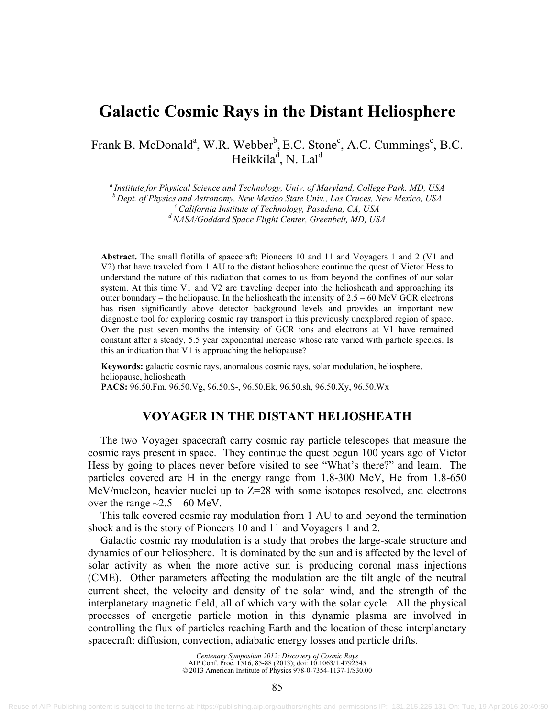# **Galactic Cosmic Rays in the Distant Heliosphere**

Frank B. McDonald<sup>a</sup>, W.R. Webber<sup>b</sup>, E.C. Stone<sup>c</sup>, A.C. Cummings<sup>c</sup>, B.C. Heikkila<sup>d</sup>, N. Lal<sup>d</sup>

*<sup>a</sup> Institute for Physical Science and Technology, Univ. of Maryland, College Park, MD, USA <sup>b</sup> Dept. of Physics and Astronomy, New Mexico State Univ., Las Cruces, New Mexico, USA <sup>c</sup> California Institute of Technology, Pasadena, CA, USA dNASA/Goddard Space Flight Center, Greenbelt, MD, USA*

**Abstract.** The small flotilla of spacecraft: Pioneers 10 and 11 and Voyagers 1 and 2 (V1 and V2) that have traveled from 1 AU to the distant heliosphere continue the quest of Victor Hess to understand the nature of this radiation that comes to us from beyond the confines of our solar system. At this time V1 and V2 are traveling deeper into the heliosheath and approaching its outer boundary – the heliopause. In the heliosheath the intensity of  $2.5 - 60$  MeV GCR electrons has risen significantly above detector background levels and provides an important new diagnostic tool for exploring cosmic ray transport in this previously unexplored region of space. Over the past seven months the intensity of GCR ions and electrons at V1 have remained constant after a steady, 5.5 year exponential increase whose rate varied with particle species. Is this an indication that V1 is approaching the heliopause?

**Keywords:** galactic cosmic rays, anomalous cosmic rays, solar modulation, heliosphere, heliopause, heliosheath **PACS:** 96.50.Fm, 96.50.Vg, 96.50.S-, 96.50.Ek, 96.50.sh, 96.50.Xy, 96.50.Wx

#### **VOYAGER IN THE DISTANT HELIOSHEATH**

The two Voyager spacecraft carry cosmic ray particle telescopes that measure the cosmic rays present in space. They continue the quest begun 100 years ago of Victor Hess by going to places never before visited to see "What's there?" and learn. The particles covered are H in the energy range from 1.8-300 MeV, He from 1.8-650 MeV/nucleon, heavier nuclei up to Z=28 with some isotopes resolved, and electrons over the range  $\sim$  2.5 – 60 MeV.

This talk covered cosmic ray modulation from 1 AU to and beyond the termination shock and is the story of Pioneers 10 and 11 and Voyagers 1 and 2.

Galactic cosmic ray modulation is a study that probes the large-scale structure and dynamics of our heliosphere. It is dominated by the sun and is affected by the level of solar activity as when the more active sun is producing coronal mass injections (CME). Other parameters affecting the modulation are the tilt angle of the neutral current sheet, the velocity and density of the solar wind, and the strength of the interplanetary magnetic field, all of which vary with the solar cycle. All the physical processes of energetic particle motion in this dynamic plasma are involved in controlling the flux of particles reaching Earth and the location of these interplanetary spacecraft: diffusion, convection, adiabatic energy losses and particle drifts.

> *Centenary Symposium 2012: Discovery of Cosmic Rays* AIP Conf. Proc. 1516, 85-88 (2013); doi: 10.1063/1.4792545 © 2013 American Institute of Physics 978-0-7354-1137-1/\$30.00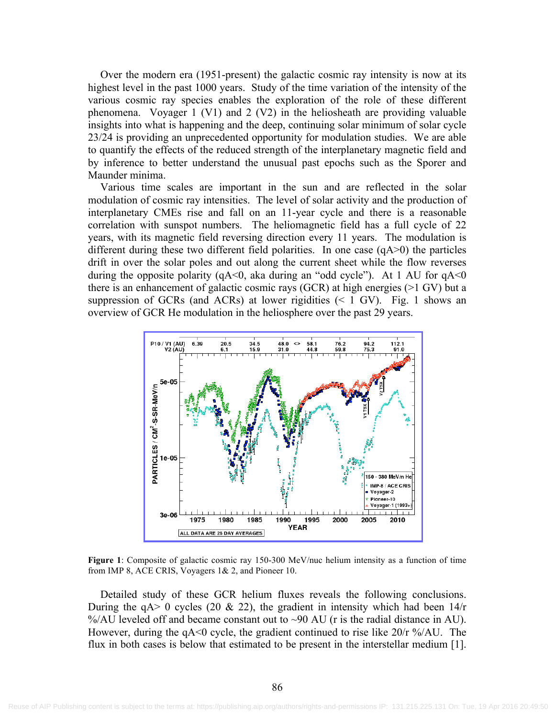Over the modern era (1951-present) the galactic cosmic ray intensity is now at its highest level in the past 1000 years. Study of the time variation of the intensity of the various cosmic ray species enables the exploration of the role of these different phenomena. Voyager 1 (V1) and 2 (V2) in the heliosheath are providing valuable insights into what is happening and the deep, continuing solar minimum of solar cycle 23/24 is providing an unprecedented opportunity for modulation studies. We are able to quantify the effects of the reduced strength of the interplanetary magnetic field and by inference to better understand the unusual past epochs such as the Sporer and Maunder minima.

Various time scales are important in the sun and are reflected in the solar modulation of cosmic ray intensities. The level of solar activity and the production of interplanetary CMEs rise and fall on an 11-year cycle and there is a reasonable correlation with sunspot numbers. The heliomagnetic field has a full cycle of 22 years, with its magnetic field reversing direction every 11 years. The modulation is different during these two different field polarities. In one case  $(qA>0)$  the particles drift in over the solar poles and out along the current sheet while the flow reverses during the opposite polarity ( $qA \le 0$ , aka during an "odd cycle"). At 1 AU for  $qA \le 0$ there is an enhancement of galactic cosmic rays (GCR) at high energies (>1 GV) but a suppression of GCRs (and ACRs) at lower rigidities  $(< 1$  GV). Fig. 1 shows an overview of GCR He modulation in the heliosphere over the past 29 years.



**Figure 1**: Composite of galactic cosmic ray 150-300 MeV/nuc helium intensity as a function of time from IMP 8, ACE CRIS, Voyagers 1& 2, and Pioneer 10.

Detailed study of these GCR helium fluxes reveals the following conclusions. During the  $qA > 0$  cycles (20 & 22), the gradient in intensity which had been 14/r %/AU leveled off and became constant out to ~90 AU (r is the radial distance in AU). However, during the  $qA \le 0$  cycle, the gradient continued to rise like  $20/r$  %/AU. The flux in both cases is below that estimated to be present in the interstellar medium [1].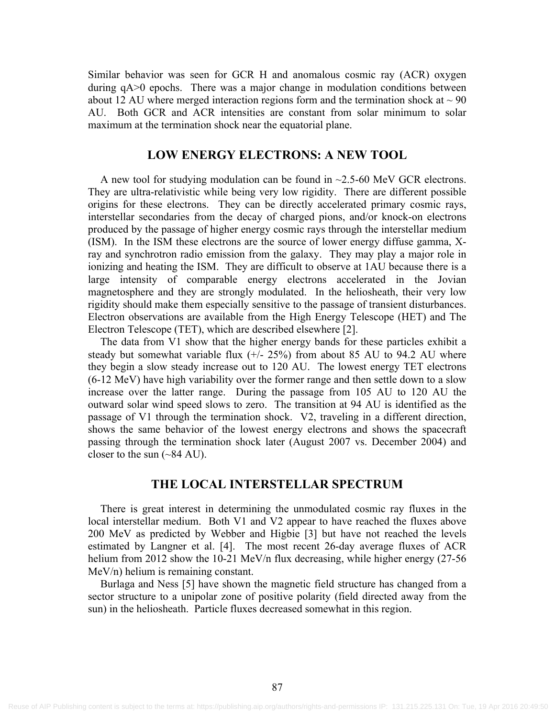Similar behavior was seen for GCR H and anomalous cosmic ray (ACR) oxygen during qA>0 epochs. There was a major change in modulation conditions between about 12 AU where merged interaction regions form and the termination shock at  $\sim$  90 AU. Both GCR and ACR intensities are constant from solar minimum to solar maximum at the termination shock near the equatorial plane.

## **LOW ENERGY ELECTRONS: A NEW TOOL**

A new tool for studying modulation can be found in ~2.5-60 MeV GCR electrons. They are ultra-relativistic while being very low rigidity. There are different possible origins for these electrons. They can be directly accelerated primary cosmic rays, interstellar secondaries from the decay of charged pions, and/or knock-on electrons produced by the passage of higher energy cosmic rays through the interstellar medium (ISM). In the ISM these electrons are the source of lower energy diffuse gamma, Xray and synchrotron radio emission from the galaxy. They may play a major role in ionizing and heating the ISM. They are difficult to observe at 1AU because there is a large intensity of comparable energy electrons accelerated in the Jovian magnetosphere and they are strongly modulated. In the heliosheath, their very low rigidity should make them especially sensitive to the passage of transient disturbances. Electron observations are available from the High Energy Telescope (HET) and The Electron Telescope (TET), which are described elsewhere [2].

The data from V1 show that the higher energy bands for these particles exhibit a steady but somewhat variable flux  $(+)$  25%) from about 85 AU to 94.2 AU where they begin a slow steady increase out to 120 AU. The lowest energy TET electrons (6-12 MeV) have high variability over the former range and then settle down to a slow increase over the latter range. During the passage from 105 AU to 120 AU the outward solar wind speed slows to zero. The transition at 94 AU is identified as the passage of V1 through the termination shock. V2, traveling in a different direction, shows the same behavior of the lowest energy electrons and shows the spacecraft passing through the termination shock later (August 2007 vs. December 2004) and closer to the sun  $(\sim 84 \text{ AU})$ .

## **THE LOCAL INTERSTELLAR SPECTRUM**

There is great interest in determining the unmodulated cosmic ray fluxes in the local interstellar medium. Both V1 and V2 appear to have reached the fluxes above 200 MeV as predicted by Webber and Higbie [3] but have not reached the levels estimated by Langner et al. [4]. The most recent 26-day average fluxes of ACR helium from 2012 show the 10-21 MeV/n flux decreasing, while higher energy (27-56) MeV/n) helium is remaining constant.

Burlaga and Ness [5] have shown the magnetic field structure has changed from a sector structure to a unipolar zone of positive polarity (field directed away from the sun) in the heliosheath. Particle fluxes decreased somewhat in this region.